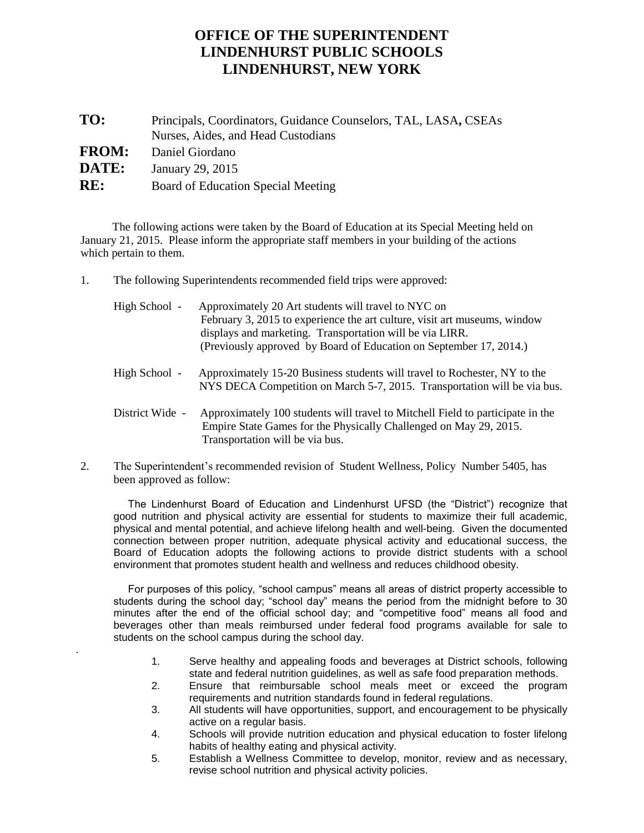## **OFFICE OF THE SUPERINTENDENT LINDENHURST PUBLIC SCHOOLS LINDENHURST, NEW YORK**

| TO:          | Principals, Coordinators, Guidance Counselors, TAL, LASA, CSEAs<br>Nurses, Aides, and Head Custodians |
|--------------|-------------------------------------------------------------------------------------------------------|
| <b>FROM:</b> | Daniel Giordano                                                                                       |
| <b>DATE:</b> | January 29, 2015                                                                                      |
| RE:          | Board of Education Special Meeting                                                                    |
|              |                                                                                                       |

 The following actions were taken by the Board of Education at its Special Meeting held on January 21, 2015. Please inform the appropriate staff members in your building of the actions which pertain to them.

1. The following Superintendents recommended field trips were approved:

.

| High School -   | Approximately 20 Art students will travel to NYC on<br>February 3, 2015 to experience the art culture, visit art museums, window<br>displays and marketing. Transportation will be via LIRR.<br>(Previously approved by Board of Education on September 17, 2014.) |
|-----------------|--------------------------------------------------------------------------------------------------------------------------------------------------------------------------------------------------------------------------------------------------------------------|
| High School -   | Approximately 15-20 Business students will travel to Rochester, NY to the<br>NYS DECA Competition on March 5-7, 2015. Transportation will be via bus.                                                                                                              |
| District Wide - | Approximately 100 students will travel to Mitchell Field to participate in the<br>Empire State Games for the Physically Challenged on May 29, 2015.<br>Transportation will be via bus.                                                                             |

2. The Superintendent's recommended revision of Student Wellness, Policy Number 5405, has been approved as follow:

 The Lindenhurst Board of Education and Lindenhurst UFSD (the "District") recognize that good nutrition and physical activity are essential for students to maximize their full academic, physical and mental potential, and achieve lifelong health and well-being. Given the documented connection between proper nutrition, adequate physical activity and educational success, the Board of Education adopts the following actions to provide district students with a school environment that promotes student health and wellness and reduces childhood obesity.

 For purposes of this policy, "school campus" means all areas of district property accessible to students during the school day; "school day" means the period from the midnight before to 30 minutes after the end of the official school day; and "competitive food" means all food and beverages other than meals reimbursed under federal food programs available for sale to students on the school campus during the school day.

- 1. Serve healthy and appealing foods and beverages at District schools, following state and federal nutrition guidelines, as well as safe food preparation methods.
- 2. Ensure that reimbursable school meals meet or exceed the program requirements and nutrition standards found in federal regulations.
- 3. All students will have opportunities, support, and encouragement to be physically active on a regular basis.
- 4. Schools will provide nutrition education and physical education to foster lifelong habits of healthy eating and physical activity.
- 5. Establish a Wellness Committee to develop, monitor, review and as necessary, revise school nutrition and physical activity policies.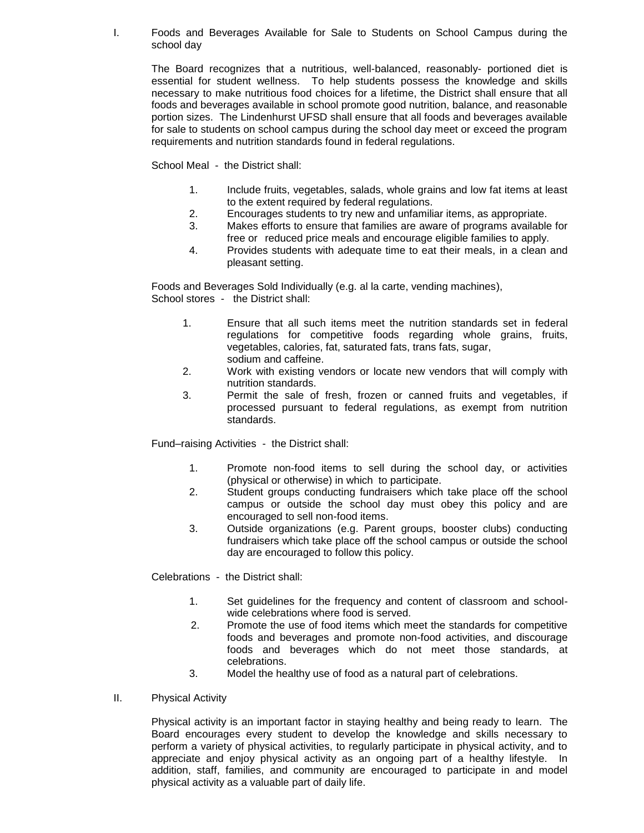I. Foods and Beverages Available for Sale to Students on School Campus during the school day

The Board recognizes that a nutritious, well-balanced, reasonably- portioned diet is essential for student wellness. To help students possess the knowledge and skills necessary to make nutritious food choices for a lifetime, the District shall ensure that all foods and beverages available in school promote good nutrition, balance, and reasonable portion sizes. The Lindenhurst UFSD shall ensure that all foods and beverages available for sale to students on school campus during the school day meet or exceed the program requirements and nutrition standards found in federal regulations.

School Meal - the District shall:

- 1. Include fruits, vegetables, salads, whole grains and low fat items at least to the extent required by federal regulations.
- 2. Encourages students to try new and unfamiliar items, as appropriate.
- 3. Makes efforts to ensure that families are aware of programs available for free or reduced price meals and encourage eligible families to apply.
- 4. Provides students with adequate time to eat their meals, in a clean and pleasant setting.

Foods and Beverages Sold Individually (e.g. al la carte, vending machines), School stores - the District shall:

- 1. Ensure that all such items meet the nutrition standards set in federal regulations for competitive foods regarding whole grains, fruits, vegetables, calories, fat, saturated fats, trans fats, sugar, sodium and caffeine.
- 2. Work with existing vendors or locate new vendors that will comply with nutrition standards.
- 3. Permit the sale of fresh, frozen or canned fruits and vegetables, if processed pursuant to federal regulations, as exempt from nutrition standards.

Fund–raising Activities - the District shall:

- 1. Promote non-food items to sell during the school day, or activities (physical or otherwise) in which to participate.
- 2. Student groups conducting fundraisers which take place off the school campus or outside the school day must obey this policy and are encouraged to sell non-food items.
- 3. Outside organizations (e.g. Parent groups, booster clubs) conducting fundraisers which take place off the school campus or outside the school day are encouraged to follow this policy.

Celebrations - the District shall:

- 1. Set guidelines for the frequency and content of classroom and schoolwide celebrations where food is served.
- 2. Promote the use of food items which meet the standards for competitive foods and beverages and promote non-food activities, and discourage foods and beverages which do not meet those standards, at celebrations.
- 3. Model the healthy use of food as a natural part of celebrations.
- II. Physical Activity

Physical activity is an important factor in staying healthy and being ready to learn. The Board encourages every student to develop the knowledge and skills necessary to perform a variety of physical activities, to regularly participate in physical activity, and to appreciate and enjoy physical activity as an ongoing part of a healthy lifestyle. In addition, staff, families, and community are encouraged to participate in and model physical activity as a valuable part of daily life.